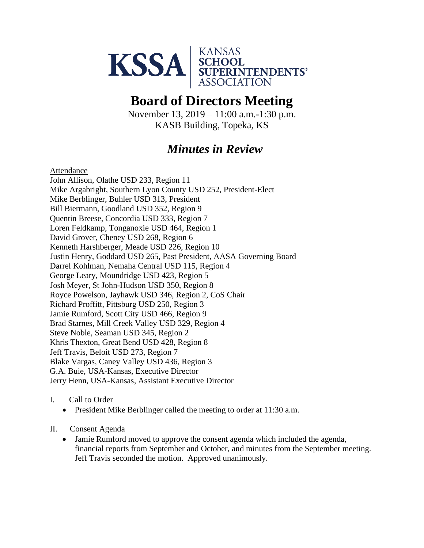

# **Board of Directors Meeting**

November 13, 2019 – 11:00 a.m.-1:30 p.m. KASB Building, Topeka, KS

## *Minutes in Review*

Attendance

John Allison, Olathe USD 233, Region 11 Mike Argabright, Southern Lyon County USD 252, President-Elect Mike Berblinger, Buhler USD 313, President Bill Biermann, Goodland USD 352, Region 9 Quentin Breese, Concordia USD 333, Region 7 Loren Feldkamp, Tonganoxie USD 464, Region 1 David Grover, Cheney USD 268, Region 6 Kenneth Harshberger, Meade USD 226, Region 10 Justin Henry, Goddard USD 265, Past President, AASA Governing Board Darrel Kohlman, Nemaha Central USD 115, Region 4 George Leary, Moundridge USD 423, Region 5 Josh Meyer, St John-Hudson USD 350, Region 8 Royce Powelson, Jayhawk USD 346, Region 2, CoS Chair Richard Proffitt, Pittsburg USD 250, Region 3 Jamie Rumford, Scott City USD 466, Region 9 Brad Starnes, Mill Creek Valley USD 329, Region 4 Steve Noble, Seaman USD 345, Region 2 Khris Thexton, Great Bend USD 428, Region 8 Jeff Travis, Beloit USD 273, Region 7 Blake Vargas, Caney Valley USD 436, Region 3 G.A. Buie, USA-Kansas, Executive Director Jerry Henn, USA-Kansas, Assistant Executive Director

- I. Call to Order
	- President Mike Berblinger called the meeting to order at 11:30 a.m.
- II. Consent Agenda
	- Jamie Rumford moved to approve the consent agenda which included the agenda, financial reports from September and October, and minutes from the September meeting. Jeff Travis seconded the motion. Approved unanimously.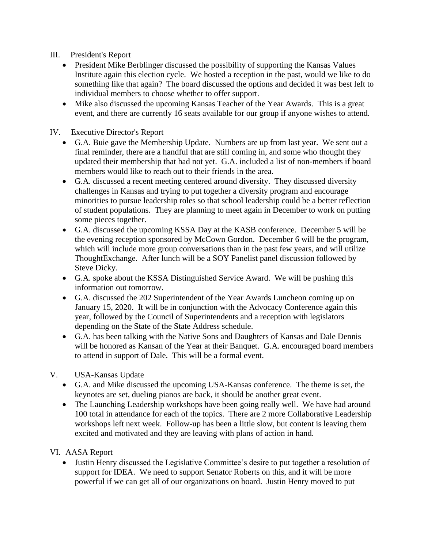#### III. President's Report

- President Mike Berblinger discussed the possibility of supporting the Kansas Values Institute again this election cycle. We hosted a reception in the past, would we like to do something like that again? The board discussed the options and decided it was best left to individual members to choose whether to offer support.
- Mike also discussed the upcoming Kansas Teacher of the Year Awards. This is a great event, and there are currently 16 seats available for our group if anyone wishes to attend.

#### IV. Executive Director's Report

- G.A. Buie gave the Membership Update. Numbers are up from last year. We sent out a final reminder, there are a handful that are still coming in, and some who thought they updated their membership that had not yet. G.A. included a list of non-members if board members would like to reach out to their friends in the area.
- G.A. discussed a recent meeting centered around diversity. They discussed diversity challenges in Kansas and trying to put together a diversity program and encourage minorities to pursue leadership roles so that school leadership could be a better reflection of student populations. They are planning to meet again in December to work on putting some pieces together.
- G.A. discussed the upcoming KSSA Day at the KASB conference. December 5 will be the evening reception sponsored by McCown Gordon. December 6 will be the program, which will include more group conversations than in the past few years, and will utilize ThoughtExchange. After lunch will be a SOY Panelist panel discussion followed by Steve Dicky.
- G.A. spoke about the KSSA Distinguished Service Award. We will be pushing this information out tomorrow.
- G.A. discussed the 202 Superintendent of the Year Awards Luncheon coming up on January 15, 2020. It will be in conjunction with the Advocacy Conference again this year, followed by the Council of Superintendents and a reception with legislators depending on the State of the State Address schedule.
- G.A. has been talking with the Native Sons and Daughters of Kansas and Dale Dennis will be honored as Kansan of the Year at their Banquet. G.A. encouraged board members to attend in support of Dale. This will be a formal event.

#### V. USA-Kansas Update

- G.A. and Mike discussed the upcoming USA-Kansas conference. The theme is set, the keynotes are set, dueling pianos are back, it should be another great event.
- The Launching Leadership workshops have been going really well. We have had around 100 total in attendance for each of the topics. There are 2 more Collaborative Leadership workshops left next week. Follow-up has been a little slow, but content is leaving them excited and motivated and they are leaving with plans of action in hand.

### VI. AASA Report

• Justin Henry discussed the Legislative Committee's desire to put together a resolution of support for IDEA. We need to support Senator Roberts on this, and it will be more powerful if we can get all of our organizations on board. Justin Henry moved to put